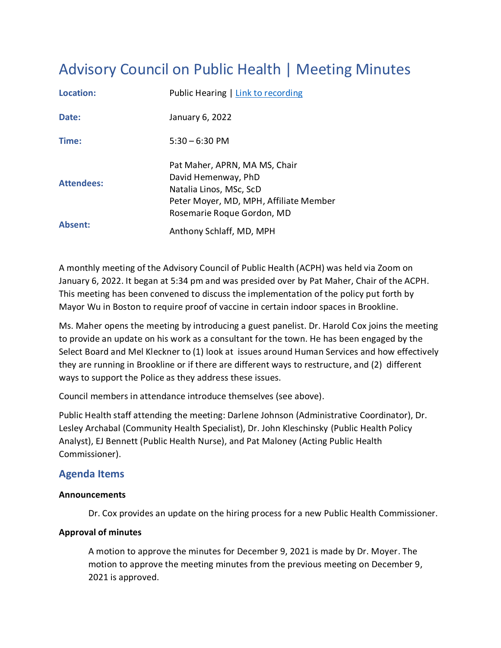# Advisory Council on Public Health | Meeting Minutes

| Location:         | Public Hearing   Link to recording                                                                                                                      |  |  |
|-------------------|---------------------------------------------------------------------------------------------------------------------------------------------------------|--|--|
| Date:             | January 6, 2022                                                                                                                                         |  |  |
| Time:             | $5:30 - 6:30$ PM                                                                                                                                        |  |  |
| <b>Attendees:</b> | Pat Maher, APRN, MA MS, Chair<br>David Hemenway, PhD<br>Natalia Linos, MSc, ScD<br>Peter Moyer, MD, MPH, Affiliate Member<br>Rosemarie Roque Gordon, MD |  |  |
| Absent:           | Anthony Schlaff, MD, MPH                                                                                                                                |  |  |

A monthly meeting of the Advisory Council of Public Health (ACPH) was held via Zoom on January 6, 2022. It began at 5:34 pm and was presided over by Pat Maher, Chair of the ACPH. This meeting has been convened to discuss the implementation of the policy put forth by Mayor Wu in Boston to require proof of vaccine in certain indoor spaces in Brookline.

Ms. Maher opens the meeting by introducing a guest panelist. Dr. Harold Cox joins the meeting to provide an update on his work as a consultant for the town. He has been engaged by the Select Board and Mel Kleckner to (1) look at issues around Human Services and how effectively they are running in Brookline or if there are different ways to restructure, and (2) different ways to support the Police as they address these issues.

Council members in attendance introduce themselves (see above).

Public Health staff attending the meeting: Darlene Johnson (Administrative Coordinator), Dr. Lesley Archabal (Community Health Specialist), Dr. John Kleschinsky (Public Health Policy Analyst), EJ Bennett (Public Health Nurse), and Pat Maloney (Acting Public Health Commissioner).

# **Agenda Items**

## **Announcements**

Dr. Cox provides an update on the hiring process for a new Public Health Commissioner.

## **Approval of minutes**

A motion to approve the minutes for December 9, 2021 is made by Dr. Moyer. The motion to approve the meeting minutes from the previous meeting on December 9, 2021 is approved.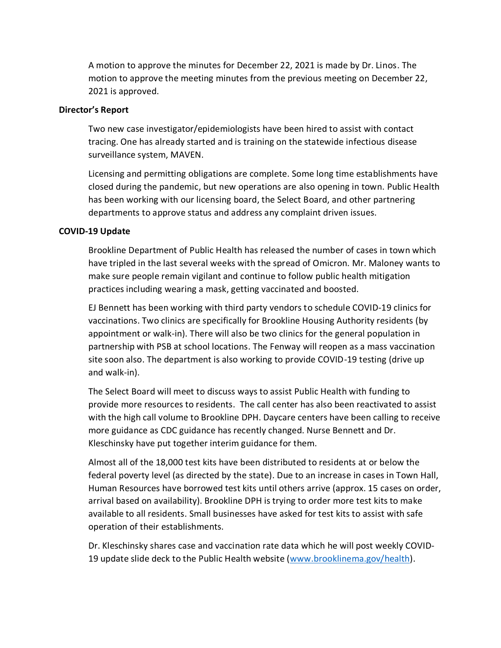A motion to approve the minutes for December 22, 2021 is made by Dr. Linos. The motion to approve the meeting minutes from the previous meeting on December 22, 2021 is approved.

#### **Director's Report**

Two new case investigator/epidemiologists have been hired to assist with contact tracing. One has already started and is training on the statewide infectious disease surveillance system, MAVEN.

Licensing and permitting obligations are complete. Some long time establishments have closed during the pandemic, but new operations are also opening in town. Public Health has been working with our licensing board, the Select Board, and other partnering departments to approve status and address any complaint driven issues.

#### **COVID-19 Update**

Brookline Department of Public Health has released the number of cases in town which have tripled in the last several weeks with the spread of Omicron. Mr. Maloney wants to make sure people remain vigilant and continue to follow public health mitigation practices including wearing a mask, getting vaccinated and boosted.

EJ Bennett has been working with third party vendors to schedule COVID-19 clinics for vaccinations. Two clinics are specifically for Brookline Housing Authority residents (by appointment or walk-in). There will also be two clinics for the general population in partnership with PSB at school locations. The Fenway will reopen as a mass vaccination site soon also. The department is also working to provide COVID-19 testing (drive up and walk-in).

The Select Board will meet to discuss ways to assist Public Health with funding to provide more resources to residents. The call center has also been reactivated to assist with the high call volume to Brookline DPH. Daycare centers have been calling to receive more guidance as CDC guidance has recently changed. Nurse Bennett and Dr. Kleschinsky have put together interim guidance for them.

Almost all of the 18,000 test kits have been distributed to residents at or below the federal poverty level (as directed by the state). Due to an increase in cases in Town Hall, Human Resources have borrowed test kits until others arrive (approx. 15 cases on order, arrival based on availability). Brookline DPH is trying to order more test kits to make available to all residents. Small businesses have asked for test kits to assist with safe operation of their establishments.

Dr. Kleschinsky shares case and vaccination rate data which he will post weekly COVID-19 update slide deck to the Public Health website [\(www.brooklinema.gov/health\)](http://www.brooklinema.gov/health).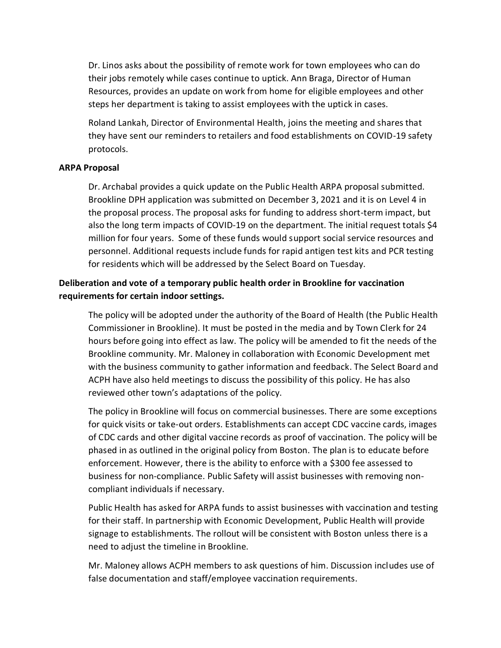Dr. Linos asks about the possibility of remote work for town employees who can do their jobs remotely while cases continue to uptick. Ann Braga, Director of Human Resources, provides an update on work from home for eligible employees and other steps her department is taking to assist employees with the uptick in cases.

Roland Lankah, Director of Environmental Health, joins the meeting and shares that they have sent our reminders to retailers and food establishments on COVID-19 safety protocols.

## **ARPA Proposal**

Dr. Archabal provides a quick update on the Public Health ARPA proposal submitted. Brookline DPH application was submitted on December 3, 2021 and it is on Level 4 in the proposal process. The proposal asks for funding to address short-term impact, but also the long term impacts of COVID-19 on the department. The initial request totals \$4 million for four years. Some of these funds would support social service resources and personnel. Additional requests include funds for rapid antigen test kits and PCR testing for residents which will be addressed by the Select Board on Tuesday.

## **Deliberation and vote of a temporary public health order in Brookline for vaccination requirements for certain indoor settings.**

The policy will be adopted under the authority of the Board of Health (the Public Health Commissioner in Brookline). It must be posted in the media and by Town Clerk for 24 hours before going into effect as law. The policy will be amended to fit the needs of the Brookline community. Mr. Maloney in collaboration with Economic Development met with the business community to gather information and feedback. The Select Board and ACPH have also held meetings to discuss the possibility of this policy. He has also reviewed other town's adaptations of the policy.

The policy in Brookline will focus on commercial businesses. There are some exceptions for quick visits or take-out orders. Establishments can accept CDC vaccine cards, images of CDC cards and other digital vaccine records as proof of vaccination. The policy will be phased in as outlined in the original policy from Boston. The plan is to educate before enforcement. However, there is the ability to enforce with a \$300 fee assessed to business for non-compliance. Public Safety will assist businesses with removing noncompliant individuals if necessary.

Public Health has asked for ARPA funds to assist businesses with vaccination and testing for their staff. In partnership with Economic Development, Public Health will provide signage to establishments. The rollout will be consistent with Boston unless there is a need to adjust the timeline in Brookline.

Mr. Maloney allows ACPH members to ask questions of him. Discussion includes use of false documentation and staff/employee vaccination requirements.